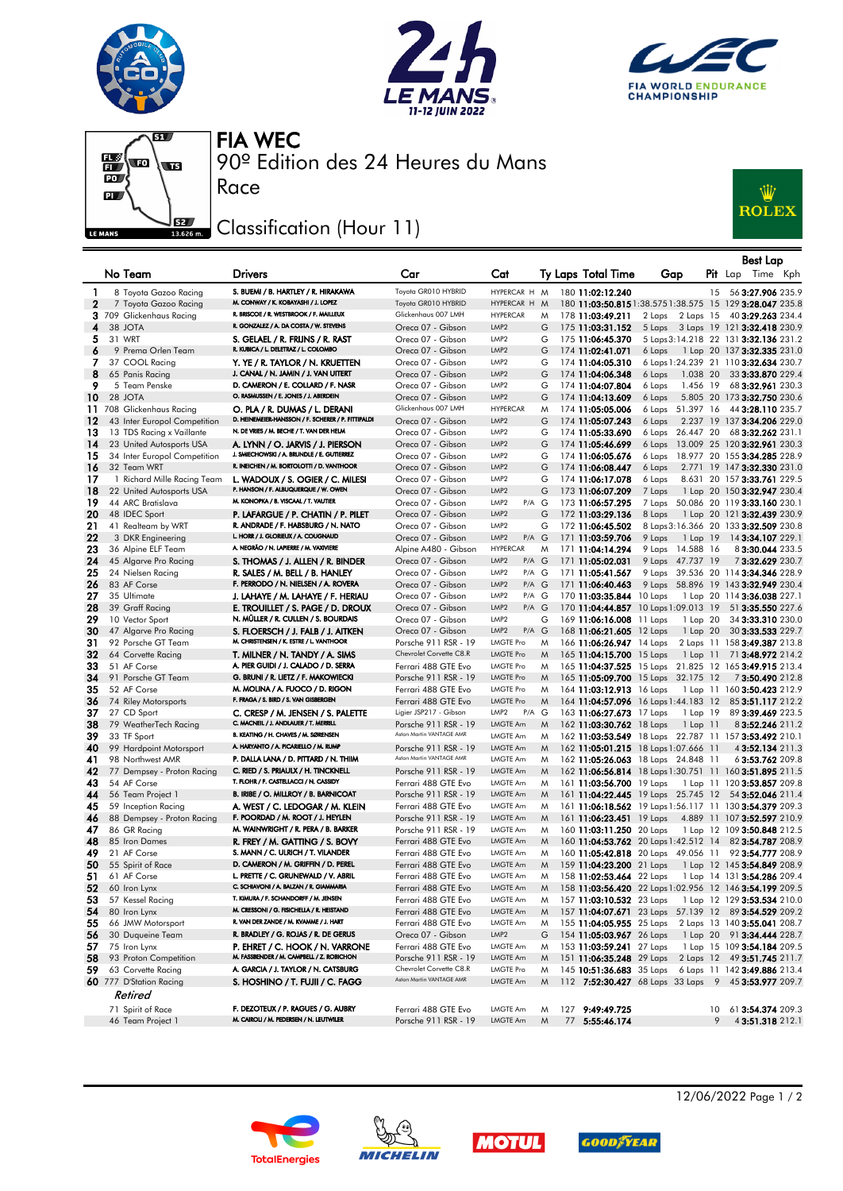







90º Edition des 24 Heures du Mans FIA WEC

## Classification (Hour 11)

Race



|              |                                             |                                                                               |                                                 |                                                   |        |                                                      |                                                          |    | <b>Best Lap</b>                                             |  |
|--------------|---------------------------------------------|-------------------------------------------------------------------------------|-------------------------------------------------|---------------------------------------------------|--------|------------------------------------------------------|----------------------------------------------------------|----|-------------------------------------------------------------|--|
|              | No Team                                     | <b>Drivers</b>                                                                | Car                                             | Cat                                               |        | Ty Laps Total Time                                   | Gap                                                      |    | <b>Pit</b> Lap<br>Time Kph                                  |  |
| 1            | 8 Toyota Gazoo Racing                       | S. BUEMI / B. HARTLEY / R. HIRAKAWA                                           | Toyota GR010 HYBRID                             | HYPERCAR H M                                      |        | 180 11:02:12.240                                     |                                                          | 15 | 56 3:27.906 235.9                                           |  |
| $\mathbf{2}$ | 7 Toyota Gazoo Racing                       | M. CONWAY / K. KOBAYASHI / J. LOPEZ                                           | Toyota GR010 HYBRID                             | HYPERCAR H M                                      |        |                                                      | 180 11:03:50.815 1:38.575 1:38.575 15 129 3:28.047 235.8 |    |                                                             |  |
|              | 3 709 Glickenhaus Racing                    | R. BRISCOE / R. WESTBROOK / F. MAILLEUX                                       | Glickenhaus 007 LMH                             | <b>HYPERCAR</b>                                   | M      | 178 11:03:49.211                                     | 2 Laps<br>2 Laps 15                                      |    | 40 3:29.263 234.4                                           |  |
| 4            | 38 JOTA                                     | R. GONZALEZ / A. DA COSTA / W. STEVENS                                        | Oreca 07 - Gibson                               | LMP <sub>2</sub>                                  | G      | 175 11:03:31.152                                     |                                                          |    | 5 Laps 3 Laps 19 121 3:32.418 230.9                         |  |
| 5            | 31 WRT                                      | S. GELAEL / R. FRIJNS / R. RAST<br>R. KUBICA / L. DELETRAZ / L. COLOMBO       | Oreca 07 - Gibson                               | LMP <sub>2</sub>                                  | G      | 175 11:06:45.370                                     |                                                          |    | 5 Laps 3:14.218 22 131 3:32.136 231.2                       |  |
| 6            | 9 Prema Orlen Team                          |                                                                               | Oreca 07 - Gibson                               | LMP <sub>2</sub>                                  | G      | 174 11:02:41.071                                     | 6 Laps                                                   |    | 1 Lap 20 137 3:32.335 231.0                                 |  |
| 7<br>8       | 37 COOL Racing                              | Y. YE / R. TAYLOR / N. KRUETTEN<br>J. CANAL / N. JAMIN / J. VAN UITERT        | Oreca 07 - Gibson                               | LMP <sub>2</sub><br>LMP <sub>2</sub>              | G<br>G | 174 11:04:05.310                                     |                                                          |    | 6 Laps 1:24.239 21 110 3:32.634 230.7                       |  |
| 9            | 65 Panis Racing<br>5 Team Penske            | D. CAMERON / E. COLLARD / F. NASR                                             | Oreca 07 - Gibson<br>Oreca 07 - Gibson          | LMP <sub>2</sub>                                  | G      | 174 11:04:06.348<br>174 11:04:07.804                 | 1.038 20<br>6 Laps<br>1.456 19<br>6 Laps                 |    | 33 3:33.870 229.4<br>68 3:32.961 230.3                      |  |
| 10           | 28 JOTA                                     | O. RASMUSSEN / E. JONES / J. ABERDEIN                                         | Oreca 07 - Gibson                               | LMP <sub>2</sub>                                  | G      | 174 11:04:13.609                                     | 6 Laps                                                   |    | 5.805 20 173 3:32.750 230.6                                 |  |
|              | 11 708 Glickenhaus Racing                   | O. PLA / R. DUMAS / L. DERANI                                                 | Glickenhaus 007 LMH                             | <b>HYPERCAR</b>                                   | M      | 174 11:05:05.006                                     | 51.397 16<br>6 Laps                                      |    | 44 3:28.110 235.7                                           |  |
| 12           | 43 Inter Europol Competition                | D. HEINEMEIER-HANSSON / F. SCHERER / P. FITTIPALDI                            | Oreca 07 - Gibson                               | LMP <sub>2</sub>                                  | G      | 174 11:05:07.243                                     | 6 Laps                                                   |    | 2.237 19 137 3:34.206 229.0                                 |  |
| 13           | 13 TDS Racing x Vaillante                   | N. DE VRIES / M. BECHE / T. VAN DER HELM                                      | Oreca 07 - Gibson                               | LMP <sub>2</sub>                                  | G      | 174 11:05:33.690                                     | 6 Laps 26.447 20                                         |    | 68 3:32.262 231.1                                           |  |
| 14           | 23 United Autosports USA                    | A. LYNN / O. JARVIS / J. PIERSON                                              | Oreca 07 - Gibson                               | LMP <sub>2</sub>                                  | G      | 174 11:05:46.699                                     | 6 Laps                                                   |    | 13.009 25 120 3:32.961 230.3                                |  |
| 15           | 34 Inter Europol Competition                | J. SMIECHOWSKI / A. BRUNDLE / E. GUTIERREZ                                    | Oreca 07 - Gibson                               | LMP <sub>2</sub>                                  | G      | 174 11:06:05.676                                     | 6 Laps                                                   |    | 18.977 20 155 3:34.285 228.9                                |  |
| 16           | 32 Team WRT                                 | R. INEICHEN / M. BORTOLOTTI / D. VANTHOOR                                     | Oreca 07 - Gibson                               | LMP <sub>2</sub>                                  | G      | 174 11:06:08.447                                     | 6 Laps                                                   |    | 2.771 19 147 3:32.330 231.0                                 |  |
| 17           | 1 Richard Mille Racing Team                 | L. WADOUX / S. OGIER / C. MILESI                                              | Oreca 07 - Gibson                               | LMP <sub>2</sub>                                  | G      | 174 11:06:17.078                                     | 6 Laps                                                   |    | 8.631 20 157 3:33.761 229.5                                 |  |
| 18           | 22 United Autosports USA                    | P. HANSON / F. ALBUQUERQUE / W. OWEN                                          | Oreca 07 - Gibson                               | LMP <sub>2</sub>                                  | G      | 173 11:06:07.209                                     | 7 Laps                                                   |    | 1 Lap 20 150 3:32.947 230.4                                 |  |
| 19           | 44 ARC Bratislava                           | M. KONOPKA / B. VISCAAL / T. VAUTIER                                          | Oreca 07 - Gibson                               | LMP <sub>2</sub><br>$P/A$ $G$                     |        | 173 11:06:57.295                                     | 7 Laps                                                   |    | 50.086 20 119 3:33.160 230.1                                |  |
| 20           | 48 IDEC Sport                               | P. LAFARGUE / P. CHATIN / P. PILET<br>R. ANDRADE / F. HABSBURG / N. NATO      | Oreca 07 - Gibson                               | LMP <sub>2</sub>                                  | G      | 172 11:03:29.136                                     | 8 Laps                                                   |    | 1 Lap 20 121 3:32.439 230.9                                 |  |
| 21<br>22     | 41 Realteam by WRT                          | L. HORR / J. GLORIEUX / A. COUGNAUD                                           | Oreca 07 - Gibson                               | LMP <sub>2</sub><br>LMP <sub>2</sub><br>$P/A$ $G$ | G      | 172 11:06:45.502                                     |                                                          |    | 8 Laps 3:16.366 20 133 3:32.509 230.8<br>14 3:34.107 229.1  |  |
| 23           | 3 DKR Engineering<br>36 Alpine ELF Team     | A. NEGRÃO / N. LAPIERRE / M. VAXIVIERE                                        | Oreca 07 - Gibson<br>Alpine A480 - Gibson       | <b>HYPERCAR</b>                                   | M      | 171 11:03:59.706<br>171 11:04:14.294                 | 9 Laps<br>1 Lap 19<br>9 Laps 14.588 16                   |    | 83:30.044 233.5                                             |  |
| 24           | 45 Algarve Pro Racing                       | S. THOMAS / J. ALLEN / R. BINDER                                              | Oreca 07 - Gibson                               | LMP <sub>2</sub><br>$P/A$ $G$                     |        | 171 11:05:02.031                                     | 9 Laps 47.737 19                                         |    | 73:32.629 230.7                                             |  |
| 25           | 24 Nielsen Racing                           | R. SALES / M. BELL / B. HANLEY                                                | Oreca 07 - Gibson                               | LMP <sub>2</sub><br>$P/A$ $G$                     |        | 171 11:05:41.567                                     |                                                          |    | 9 Laps 39.536 20 114 3:34.346 228.9                         |  |
| 26           | 83 AF Corse                                 | F. PERRODO / N. NIELSEN / A. ROVERA                                           | Oreca 07 - Gibson                               | LMP <sub>2</sub><br>$P/A$ $G$                     |        | 171 11:06:40.463                                     |                                                          |    | 9 Laps 58.896 19 143 3:32.949 230.4                         |  |
| 27           | 35 Ultimate                                 | J. LAHAYE / M. LAHAYE / F. HERIAU                                             | Oreca 07 - Gibson                               | LMP <sub>2</sub><br>P/A G                         |        | 170 11:03:35.844 10 Laps                             |                                                          |    | 1 Lap 20 114 3:36.038 227.1                                 |  |
| 28           | 39 Graff Racing                             | E. TROUILLET / S. PAGE / D. DROUX                                             | Oreca 07 - Gibson                               | LMP <sub>2</sub><br>$P/A$ $G$                     |        |                                                      | 170 11:04:44.857 10 Laps 1:09.013 19                     |    | 51 3:35.550 227.6                                           |  |
| 29           | 10 Vector Sport                             | N. MÜLLER / R. CULLEN / S. BOURDAIS                                           | Oreca 07 - Gibson                               | LMP <sub>2</sub>                                  | G      | 169 11:06:16.008 11 Laps                             | 1 Lap 20                                                 |    | 34 3:33.310 230.0                                           |  |
| 30           | 47 Algarve Pro Racing                       | S. FLOERSCH / J. FALB / J. AITKEN                                             | Oreca 07 - Gibson                               | LMP <sub>2</sub><br>$P/A$ $G$                     |        | 168 11:06:21.605 12 Laps                             | 1 Lap 20                                                 |    | 30 3:33.533 229.7                                           |  |
| 31           | 92 Porsche GT Team                          | M. CHRISTENSEN / K. ESTRE / L. VANTHOOR                                       | Porsche 911 RSR - 19                            | <b>LMGTE Pro</b>                                  | M      | 166 11:06:26.947 14 Laps                             |                                                          |    | 2 Laps 11 158 3:49.387 213.8                                |  |
| 32           | 64 Corvette Racing                          | T. MILNER / N. TANDY / A. SIMS                                                | Chevrolet Corvette C8.R                         | <b>LMGTE Pro</b>                                  | M      | 165 11:04:15.700 15 Laps                             | $1$ Lap $11$                                             |    | 71 3:48.972 214.2                                           |  |
| 33           | 51 AF Corse                                 | A. PIER GUIDI / J. CALADO / D. SERRA                                          | Ferrari 488 GTE Evo                             | <b>LMGTE Pro</b>                                  | M      |                                                      | 165 11:04:37.525 15 Laps 21.825 12 165 3:49.915 213.4    |    |                                                             |  |
| 34<br>35     | 91 Porsche GT Team<br>52 AF Corse           | G. BRUNI / R. LIETZ / F. MAKOWIECKI<br>M. MOLINA / A. FUOCO / D. RIGON        | Porsche 911 RSR - 19                            | <b>LMGTE Pro</b><br><b>LMGTE Pro</b>              | M      |                                                      | 165 11:05:09.700 15 Laps 32.175 12                       |    | 73:50.490 212.8                                             |  |
| 36           | 74 Riley Motorsports                        | F. FRAGA / S. BIRD / S. VAN GISBERGEN                                         | Ferrari 488 GTE Evo<br>Ferrari 488 GTE Evo      | <b>LMGTE Pro</b>                                  | M<br>M | 164 11:03:12.913 16 Laps                             | 164 11:04:57.096 16 Laps 1:44.183 12                     |    | 1 Lap 11 160 3:50.423 212.9<br>85 3:51.117 212.2            |  |
| 37           | 27 CD Sport                                 | C. CRESP / M. JENSEN / S. PALETTE                                             | Ligier JSP217 - Gibson                          | LMP <sub>2</sub><br>$P/A$ $G$                     |        | 163 11:06:27.673 17 Laps                             | 1 Lap 19                                                 |    | 89 3:39.469 223.5                                           |  |
| 38           | 79 WeatherTech Racing                       | C. MACNEIL / J. ANDLAUER / T. MERRILL                                         | Porsche 911 RSR - 19                            | LMGTE Am                                          | M      | 162 11:03:30.762 18 Laps                             | $1$ Lap $11$                                             |    | 8 3:52.246 211.2                                            |  |
| 39           | 33 TF Sport                                 | B. KEATING / H. CHAVES / M. SØRENSEN                                          | Aston Martin VANTAGE AMR                        | <b>LMGTE Am</b>                                   | M      |                                                      | 162 11:03:53.549 18 Laps 22.787 11 157 3:53.492 210.1    |    |                                                             |  |
| 40           | 99 Hardpoint Motorsport                     | A. HARYANTO / A. PICARIELLO / M. RUMP                                         | Porsche 911 RSR - 19                            | LMGTE Am                                          | M      |                                                      | 162 11:05:01.215 18 Laps 1:07.666 11                     |    | 4 3:52.134 211.3                                            |  |
| 41           | 98 Northwest AMR                            | P. DALLA LANA / D. PITTARD / N. THIIM                                         | Aston Martin VANTAGE AMR                        | LMGTE Am                                          | M      |                                                      | 162 11:05:26.063 18 Laps 24.848 11                       |    | 63:53.762 209.8                                             |  |
| 42           | 77 Dempsey - Proton Racing                  | C. RIED / S. PRIAULX / H. TINCKNELL                                           | Porsche 911 RSR - 19                            | <b>LMGTE Am</b>                                   | M      |                                                      | 162 11:06:56.814 18 Laps 1:30.751 11 160 3:51.895 211.5  |    |                                                             |  |
| 43           | 54 AF Corse                                 | T. FLOHR / F. CASTELLACCI / N. CASSIDY                                        | Ferrari 488 GTE Evo                             | <b>LMGTE Am</b>                                   | M      | 161 11:03:56.700 19 Laps                             |                                                          |    | 1 Lap 11 120 3:53.857 209.8                                 |  |
| 44           | 56 Team Project 1                           | B. IRIBE / O. MILLROY / B. BARNICOAT                                          | Porsche 911 RSR - 19                            | <b>LMGTE Am</b>                                   | M      |                                                      | 161 11:04:22.445 19 Laps 25.745 12                       |    | 54 3:52.046 211.4                                           |  |
| 45           | 59 Inception Racing                         | A. WEST / C. LEDOGAR / M. KLEIN<br>F. POORDAD / M. ROOT / J. HEYLEN           | Ferrari 488 GTE Evo                             | LMGTE Am<br><b>LMGTE Am</b>                       | M      |                                                      | 161 11:06:18.562 19 Laps 1:56.117 11 130 3:54.379 209.3  |    |                                                             |  |
| 46<br>47     | 88 Dempsey - Proton Racing<br>86 GR Racing  | M. WAINWRIGHT / R. PERA / B. BARKER                                           | Porsche 911 RSR - 19<br>Porsche 911 RSR - 19    | LMGTE Am                                          | M<br>M | 161 11:06:23.451 19 Laps<br>160 11:03:11.250 20 Laps |                                                          |    | 4.889 11 107 3:52.597 210.9<br>1 Lap 12 109 3:50.848 212.5  |  |
| 48           | 85 Iron Dames                               | R. FREY / M. GATTING / S. BOVY                                                | Ferrari 488 GTE Evo                             | LMGTE Am                                          | M      |                                                      | 160 11:04:53.762 20 Laps 1:42.512 14                     |    | 82 3:54.787 208.9                                           |  |
| 49           | 21 AF Corse                                 | S. MANN / C. ULRICH / T. VILANDER                                             | Ferrari 488 GTE Evo                             | LMGTE Am                                          | M      |                                                      | 160 11:05:42.818 20 Laps 49.056 11                       |    | 92 3:54.777 208.9                                           |  |
| 50           | 55 Spirit of Race                           | D. CAMERON / M. GRIFFIN / D. PEREL                                            | Ferrari 488 GTE Evo                             | <b>LMGTE Am</b>                                   | M      | 159 11:04:23.200 21 Laps                             |                                                          |    | 1 Lap 12 145 3:54.849 208.9                                 |  |
| 51           | 61 AF Corse                                 | L. PRETTE / C. GRUNEWALD / V. ABRIL                                           | Ferrari 488 GTE Evo                             | <b>LMGTE Am</b>                                   | M      | 158 11:02:53.464 22 Laps                             |                                                          |    | 1 Lap 14 131 3:54.286 209.4                                 |  |
| 52           | 60 Iron Lynx                                | C. SCHIAVONI / A. BALZAN / R. GIAMMARIA                                       | Ferrari 488 GTE Evo                             | LMGTE Am                                          | M      |                                                      | 158 11:03:56.420 22 Laps 1:02.956 12 146 3:54.199 209.5  |    |                                                             |  |
| 53           | 57 Kessel Racing                            | T. KIMURA / F. SCHANDORFF / M. JENSEN                                         | Ferrari 488 GTE Evo                             | LMGTE Am                                          | M      | 157 11:03:10.532 23 Laps                             |                                                          |    | 1 Lap 12 129 3:53.534 210.0                                 |  |
| 54           | 80 Iron Lynx                                | M. CRESSONI / G. FISICHELLA / R. HEISTAND                                     | Ferrari 488 GTE Evo                             | <b>LMGTE Am</b>                                   | M      |                                                      | 157 11:04:07.671 23 Laps 57.139 12 89 3:54.529 209.2     |    |                                                             |  |
| 55           | 66 JMW Motorsport                           | R. VAN DER ZANDE / M. KVAMME / J. HART                                        | Ferrari 488 GTE Evo                             | LMGTE Am                                          | M      | 155 11:04:05.955 25 Laps                             |                                                          |    | 2 Laps 13 140 3:55.041 208.7                                |  |
| 56           | 30 Duqueine Team                            | R. BRADLEY / G. ROJAS / R. DE GERUS                                           | Oreca 07 - Gibson                               | LMP <sub>2</sub>                                  | G      | 154 11:05:03.967 26 Laps                             |                                                          |    | 1 Lap 20 91 3:34.444 228.7                                  |  |
| 57           | 75 Iron Lynx                                | P. EHRET / C. HOOK / N. VARRONE<br>M. FASSBENDER / M. CAMPBELL / Z. ROBICHON  | Ferrari 488 GTE Evo                             | LMGTE Am                                          | M      | 153 11:03:59.241 27 Laps                             |                                                          |    | 1 Lap 15 109 3:54.184 209.5                                 |  |
| 58<br>59     | 93 Proton Competition<br>63 Corvette Racing | A. GARCIA / J. TAYLOR / N. CATSBURG                                           | Porsche 911 RSR - 19<br>Chevrolet Corvette C8.R | <b>LMGTE Am</b><br><b>LMGTE Pro</b>               | M<br>M | 151 11:06:35.248 29 Laps<br>145 10:51:36.683 35 Laps |                                                          |    | 2 Laps 12 49 3:51.745 211.7<br>6 Laps 11 142 3:49.886 213.4 |  |
|              | 60 777 D'Station Racing                     | S. HOSHINO / T. FUJII / C. FAGG                                               | Aston Martin VANTAGE AMR                        | LMGTE Am                                          | M      |                                                      | 112 7:52:30.427 68 Laps 33 Laps 9 45 3:53.977 209.7      |    |                                                             |  |
|              | Retired                                     |                                                                               |                                                 |                                                   |        |                                                      |                                                          |    |                                                             |  |
|              |                                             |                                                                               |                                                 |                                                   |        |                                                      |                                                          |    |                                                             |  |
|              | 71 Spirit of Race<br>46 Team Project 1      | F. DEZOTEUX / P. RAGUES / G. AUBRY<br>M. CAIROLI / M. PEDERSEN / N. LEUTWILER | Ferrari 488 GTE Evo<br>Porsche 911 RSR - 19     | <b>LMGTE Am</b><br>LMGTE Am                       | M<br>M | 127 9:49:49.725<br>77 5:55:46.174                    |                                                          | 9  | 10 61 3:54.374 209.3<br>4 3:51.318 212.1                    |  |
|              |                                             |                                                                               |                                                 |                                                   |        |                                                      |                                                          |    |                                                             |  |